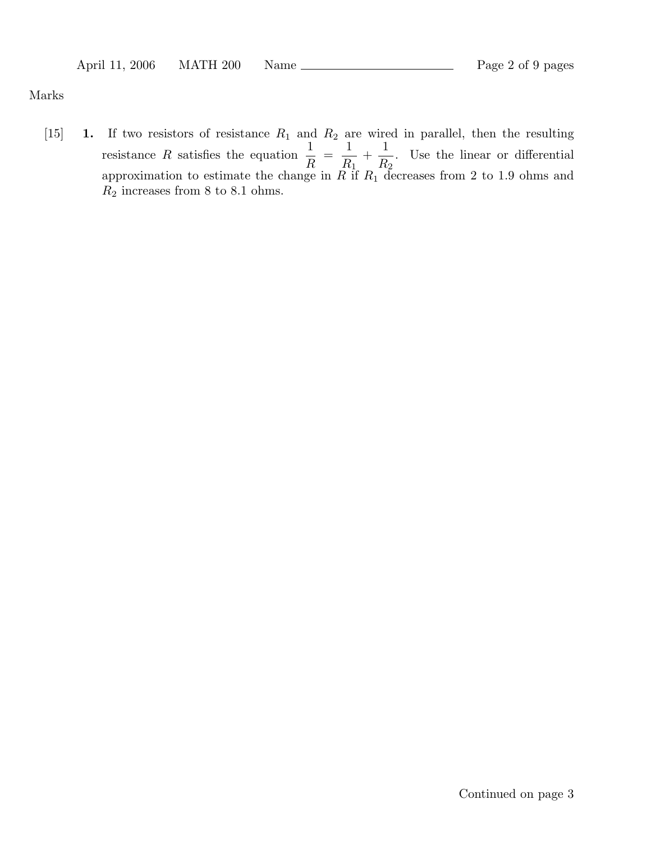## Marks

[15] **1.** If two resistors of resistance  $R_1$  and  $R_2$  are wired in parallel, then the resulting resistance R satisfies the equation  $\frac{1}{R} = \frac{1}{R_1} + \cdots$ 1  $\frac{1}{R_2}$ . Use the linear or differential approximation to estimate the change in  $R$  if  $R_1$  decreases from 2 to 1.9 ohms and  $R_2$  increases from 8 to 8.1 ohms.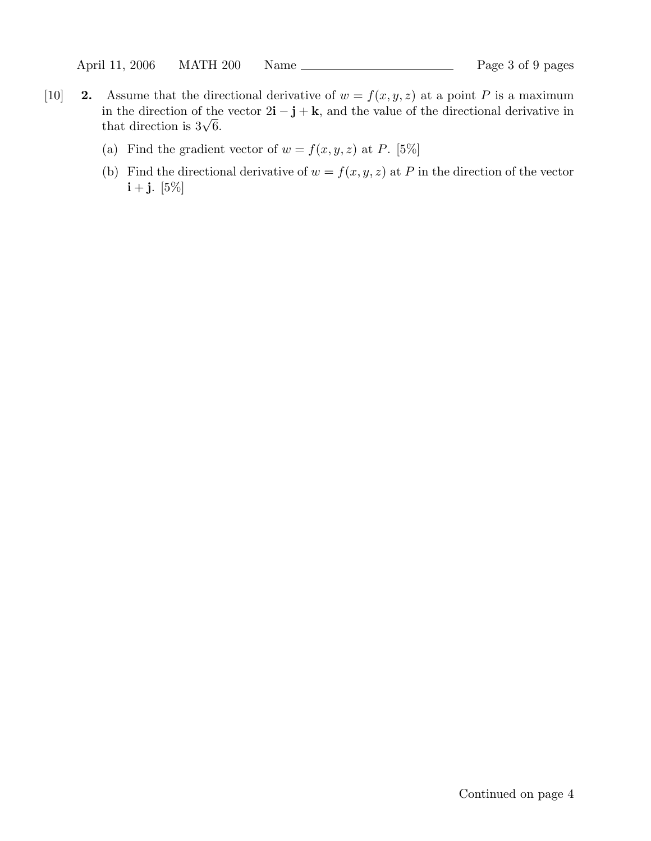- [10] **2.** Assume that the directional derivative of  $w = f(x, y, z)$  at a point P is a maximum in the direction of the vector  $2\mathbf{i} - \mathbf{j} + \mathbf{k}$ , and the value of the directional derivative in that direction is  $3\sqrt{6}$ .
	- (a) Find the gradient vector of  $w = f(x, y, z)$  at P. [5%]
	- (b) Find the directional derivative of  $w = f(x, y, z)$  at P in the direction of the vector  $i + j$ . [5%]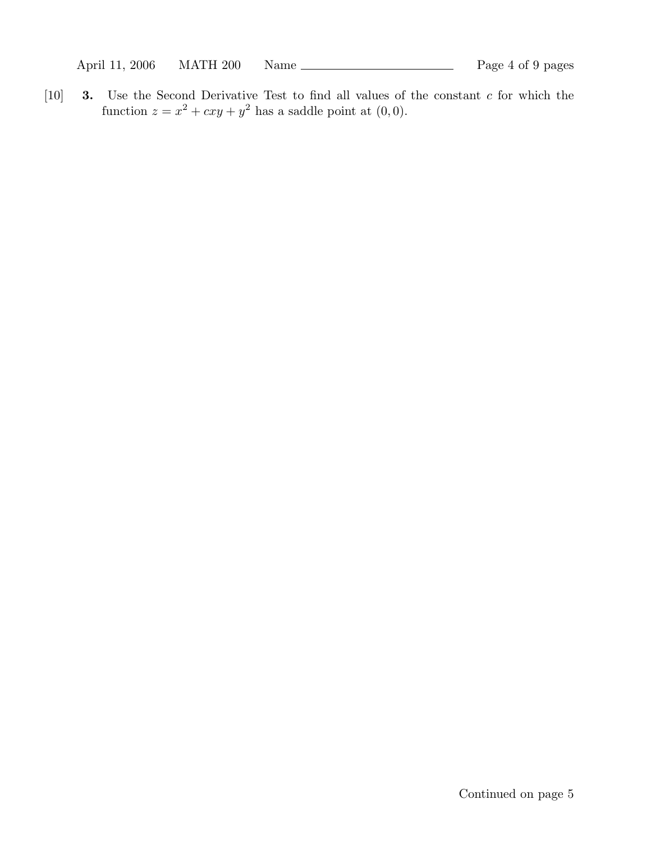April 11, 2006 MATH 200 Name 200 Manne Page 4 of 9 pages

[10] **3.** Use the Second Derivative Test to find all values of the constant c for which the function  $z = x^2 + cxy + y^2$  has a saddle point at  $(0, 0)$ .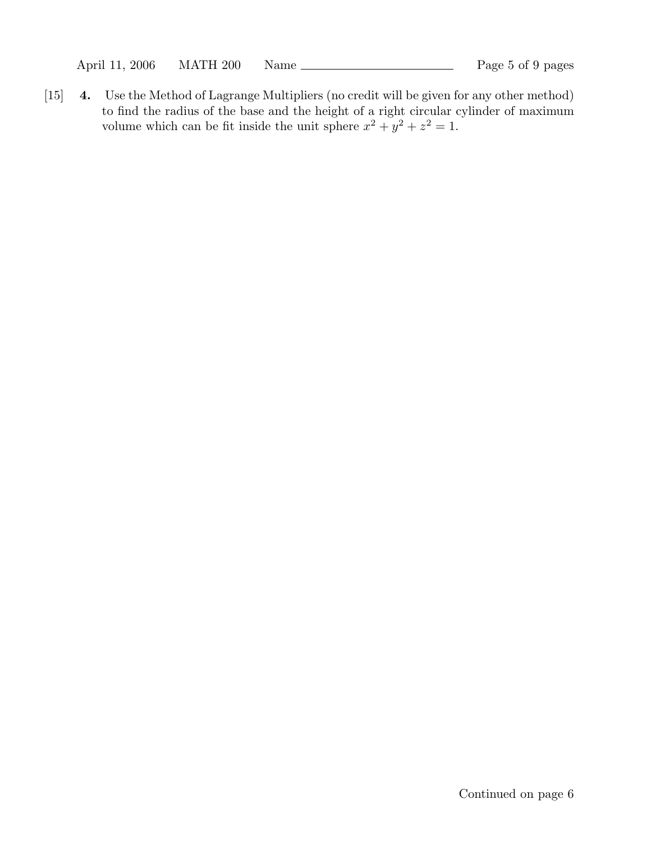April 11, 2006 MATH 200 Name Page 5 of 9 pages

[15] **4.** Use the Method of Lagrange Multipliers (no credit will be given for any other method) to find the radius of the base and the height of a right circular cylinder of maximum volume which can be fit inside the unit sphere  $x^2 + y^2 + z^2 = 1$ .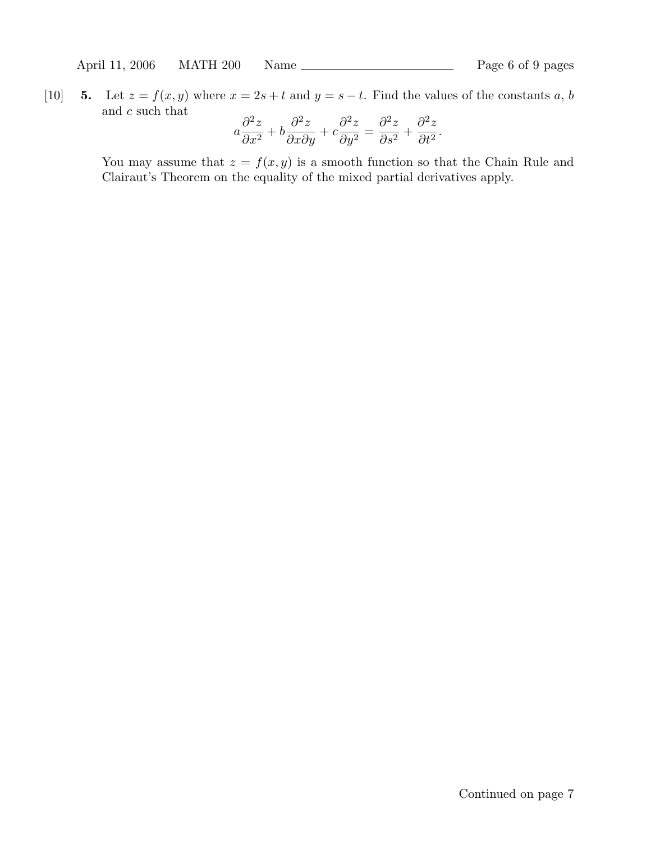April 11, 2006 MATH 200 Name Page 6 of 9 pages

[10] **5.** Let  $z = f(x, y)$  where  $x = 2s + t$  and  $y = s - t$ . Find the values of the constants a, b and c such that ∂2z

$$
a\frac{\partial^2 z}{\partial x^2} + b\frac{\partial^2 z}{\partial x \partial y} + c\frac{\partial^2 z}{\partial y^2} = \frac{\partial^2 z}{\partial s^2} + \frac{\partial^2 z}{\partial t^2}.
$$

You may assume that  $z = f(x, y)$  is a smooth function so that the Chain Rule and Clairaut's Theorem on the equality of the mixed partial derivatives apply.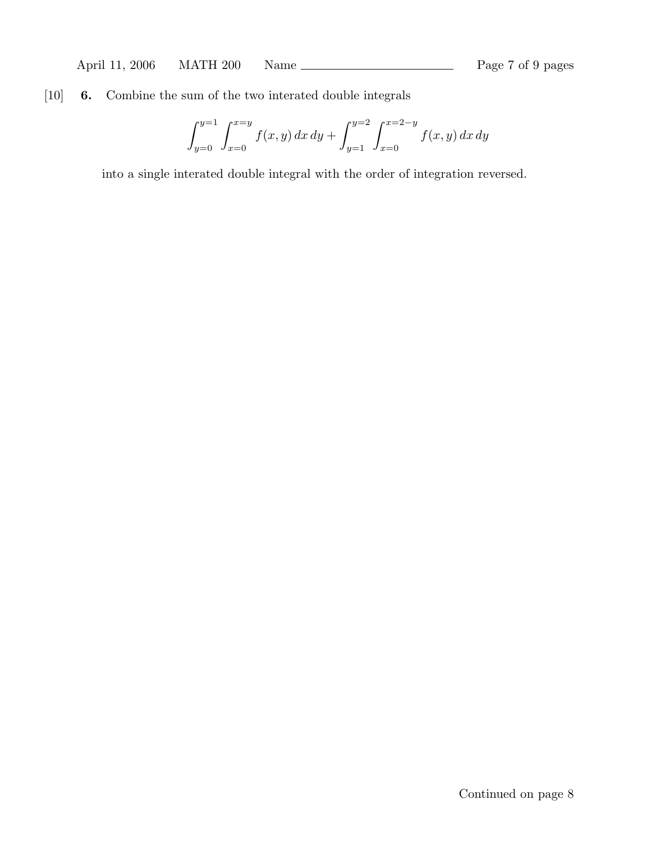## [10] **6.** Combine the sum of the two interated double integrals

$$
\int_{y=0}^{y=1} \int_{x=0}^{x=y} f(x,y) \, dx \, dy + \int_{y=1}^{y=2} \int_{x=0}^{x=2-y} f(x,y) \, dx \, dy
$$

into a single interated double integral with the order of integration reversed.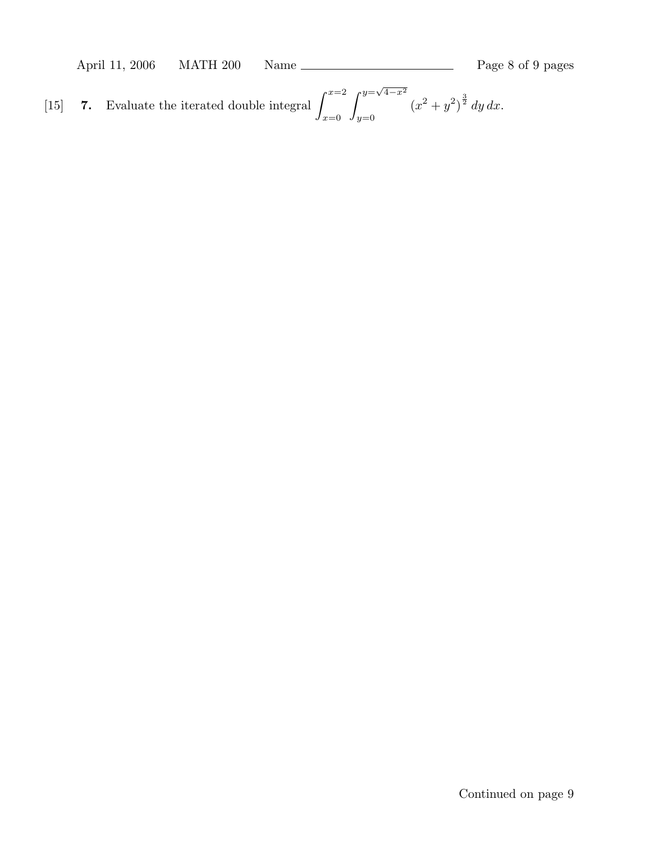April 11, 2006 MATH 200 Name Page 8 of 9 pages

[15] **7.** Evaluate the iterated double integral  $\int_{0}^{x=2}$ *x*=0  $\int$ <sup>*y*= $\sqrt{4-x^2}$ </sup> *y*=0  $(x^2+y^2)^{\frac{3}{2}} dy dx.$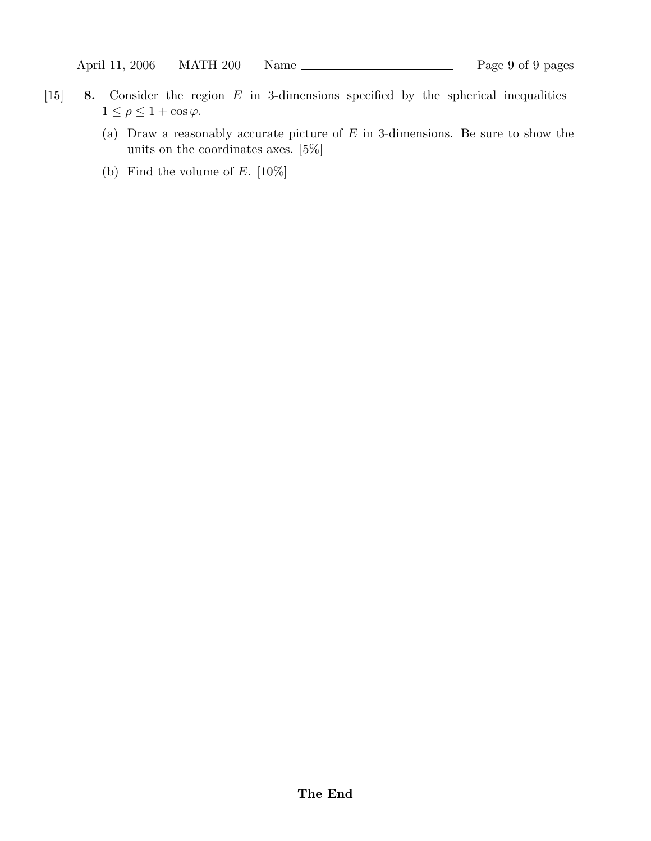- [15] **8.** Consider the region E in 3-dimensions specified by the spherical inequalities  $1 \leq \rho \leq 1 + \cos \varphi$ .
	- (a) Draw a reasonably accurate picture of  $E$  in 3-dimensions. Be sure to show the units on the coordinates axes. [5%]
	- (b) Find the volume of  $E.$  [10%]